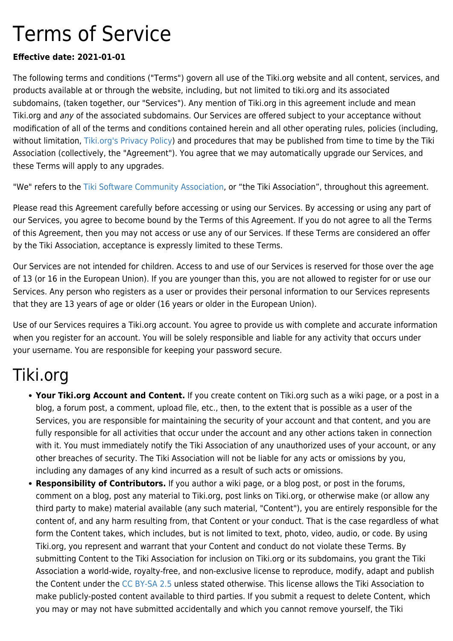# Terms of Service

#### **Effective date: 2021-01-01**

The following terms and conditions ("Terms") govern all use of the Tiki.org website and all content, services, and products available at or through the website, including, but not limited to tiki.org and its associated subdomains, (taken together, our "Services"). Any mention of Tiki.org in this agreement include and mean Tiki.org and any of the associated subdomains. Our Services are offered subject to your acceptance without modification of all of the terms and conditions contained herein and all other operating rules, policies (including, without limitation, [Tiki.org's Privacy Policy](https://tiki.org/Privacy%20Policy)) and procedures that may be published from time to time by the Tiki Association (collectively, the "Agreement"). You agree that we may automatically upgrade our Services, and these Terms will apply to any upgrades.

"We" refers to the [Tiki Software Community Association](https://tiki.org/Tiki-Software-Community-Association), or "the Tiki Association", throughout this agreement.

Please read this Agreement carefully before accessing or using our Services. By accessing or using any part of our Services, you agree to become bound by the Terms of this Agreement. If you do not agree to all the Terms of this Agreement, then you may not access or use any of our Services. If these Terms are considered an offer by the Tiki Association, acceptance is expressly limited to these Terms.

Our Services are not intended for children. Access to and use of our Services is reserved for those over the age of 13 (or 16 in the European Union). If you are younger than this, you are not allowed to register for or use our Services. Any person who registers as a user or provides their personal information to our Services represents that they are 13 years of age or older (16 years or older in the European Union).

Use of our Services requires a Tiki.org account. You agree to provide us with complete and accurate information when you register for an account. You will be solely responsible and liable for any activity that occurs under your username. You are responsible for keeping your password secure.

#### Tiki.org

- **Your Tiki.org Account and Content.** If you create content on Tiki.org such as a wiki page, or a post in a blog, a forum post, a comment, upload file, etc., then, to the extent that is possible as a user of the Services, you are responsible for maintaining the security of your account and that content, and you are fully responsible for all activities that occur under the account and any other actions taken in connection with it. You must immediately notify the Tiki Association of any unauthorized uses of your account, or any other breaches of security. The Tiki Association will not be liable for any acts or omissions by you, including any damages of any kind incurred as a result of such acts or omissions.
- **Responsibility of Contributors.** If you author a wiki page, or a blog post, or post in the forums, comment on a blog, post any material to Tiki.org, post links on Tiki.org, or otherwise make (or allow any third party to make) material available (any such material, "Content"), you are entirely responsible for the content of, and any harm resulting from, that Content or your conduct. That is the case regardless of what form the Content takes, which includes, but is not limited to text, photo, video, audio, or code. By using Tiki.org, you represent and warrant that your Content and conduct do not violate these Terms. By submitting Content to the Tiki Association for inclusion on Tiki.org or its subdomains, you grant the Tiki Association a world-wide, royalty-free, and non-exclusive license to reproduce, modify, adapt and publish the Content under the [CC BY-SA 2.5](https://creativecommons.org/licenses/by-sa/2.5/) unless stated otherwise. This license allows the Tiki Association to make publicly-posted content available to third parties. If you submit a request to delete Content, which you may or may not have submitted accidentally and which you cannot remove yourself, the Tiki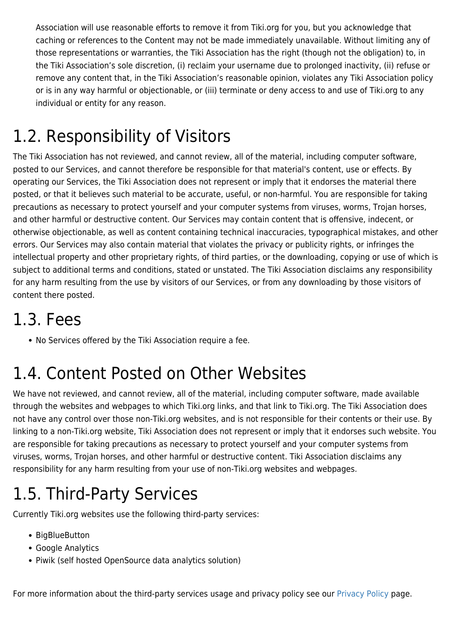Association will use reasonable efforts to remove it from Tiki.org for you, but you acknowledge that caching or references to the Content may not be made immediately unavailable. Without limiting any of those representations or warranties, the Tiki Association has the right (though not the obligation) to, in the Tiki Association's sole discretion, (i) reclaim your username due to prolonged inactivity, (ii) refuse or remove any content that, in the Tiki Association's reasonable opinion, violates any Tiki Association policy or is in any way harmful or objectionable, or (iii) terminate or deny access to and use of Tiki.org to any individual or entity for any reason.

### 1.2. Responsibility of Visitors

The Tiki Association has not reviewed, and cannot review, all of the material, including computer software, posted to our Services, and cannot therefore be responsible for that material's content, use or effects. By operating our Services, the Tiki Association does not represent or imply that it endorses the material there posted, or that it believes such material to be accurate, useful, or non-harmful. You are responsible for taking precautions as necessary to protect yourself and your computer systems from viruses, worms, Trojan horses, and other harmful or destructive content. Our Services may contain content that is offensive, indecent, or otherwise objectionable, as well as content containing technical inaccuracies, typographical mistakes, and other errors. Our Services may also contain material that violates the privacy or publicity rights, or infringes the intellectual property and other proprietary rights, of third parties, or the downloading, copying or use of which is subject to additional terms and conditions, stated or unstated. The Tiki Association disclaims any responsibility for any harm resulting from the use by visitors of our Services, or from any downloading by those visitors of content there posted.

#### 1.3. Fees

No Services offered by the Tiki Association require a fee.

#### 1.4. Content Posted on Other Websites

We have not reviewed, and cannot review, all of the material, including computer software, made available through the websites and webpages to which Tiki.org links, and that link to Tiki.org. The Tiki Association does not have any control over those non-Tiki.org websites, and is not responsible for their contents or their use. By linking to a non-Tiki.org website, Tiki Association does not represent or imply that it endorses such website. You are responsible for taking precautions as necessary to protect yourself and your computer systems from viruses, worms, Trojan horses, and other harmful or destructive content. Tiki Association disclaims any responsibility for any harm resulting from your use of non-Tiki.org websites and webpages.

#### 1.5. Third-Party Services

Currently Tiki.org websites use the following third-party services:

- BigBlueButton
- Google Analytics
- Piwik (self hosted OpenSource data analytics solution)

For more information about the third-party services usage and privacy policy see our [Privacy Policy](https://tiki.org/Privacy-Policy) page.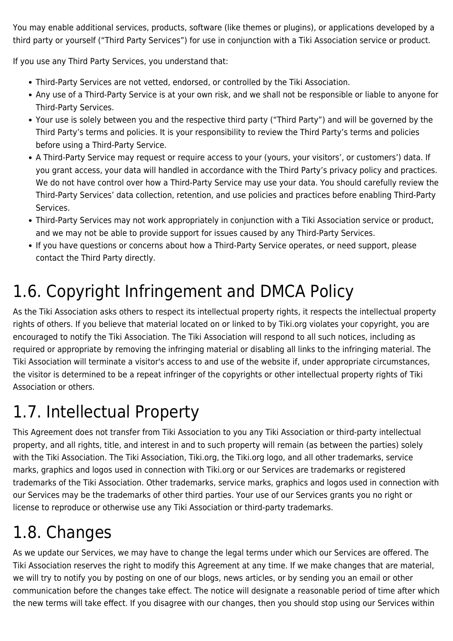You may enable additional services, products, software (like themes or plugins), or applications developed by a third party or yourself ("Third Party Services") for use in conjunction with a Tiki Association service or product.

If you use any Third Party Services, you understand that:

- Third-Party Services are not vetted, endorsed, or controlled by the Tiki Association.
- Any use of a Third-Party Service is at your own risk, and we shall not be responsible or liable to anyone for Third-Party Services.
- Your use is solely between you and the respective third party ("Third Party") and will be governed by the Third Party's terms and policies. It is your responsibility to review the Third Party's terms and policies before using a Third-Party Service.
- A Third-Party Service may request or require access to your (yours, your visitors', or customers') data. If you grant access, your data will handled in accordance with the Third Party's privacy policy and practices. We do not have control over how a Third-Party Service may use your data. You should carefully review the Third-Party Services' data collection, retention, and use policies and practices before enabling Third-Party Services.
- Third-Party Services may not work appropriately in conjunction with a Tiki Association service or product, and we may not be able to provide support for issues caused by any Third-Party Services.
- If you have questions or concerns about how a Third-Party Service operates, or need support, please contact the Third Party directly.

## 1.6. Copyright Infringement and DMCA Policy

As the Tiki Association asks others to respect its intellectual property rights, it respects the intellectual property rights of others. If you believe that material located on or linked to by Tiki.org violates your copyright, you are encouraged to notify the Tiki Association. The Tiki Association will respond to all such notices, including as required or appropriate by removing the infringing material or disabling all links to the infringing material. The Tiki Association will terminate a visitor's access to and use of the website if, under appropriate circumstances, the visitor is determined to be a repeat infringer of the copyrights or other intellectual property rights of Tiki Association or others.

## 1.7. Intellectual Property

This Agreement does not transfer from Tiki Association to you any Tiki Association or third-party intellectual property, and all rights, title, and interest in and to such property will remain (as between the parties) solely with the Tiki Association. The Tiki Association, Tiki.org, the Tiki.org logo, and all other trademarks, service marks, graphics and logos used in connection with Tiki.org or our Services are trademarks or registered trademarks of the Tiki Association. Other trademarks, service marks, graphics and logos used in connection with our Services may be the trademarks of other third parties. Your use of our Services grants you no right or license to reproduce or otherwise use any Tiki Association or third-party trademarks.

## 1.8. Changes

As we update our Services, we may have to change the legal terms under which our Services are offered. The Tiki Association reserves the right to modify this Agreement at any time. If we make changes that are material, we will try to notify you by posting on one of our blogs, news articles, or by sending you an email or other communication before the changes take effect. The notice will designate a reasonable period of time after which the new terms will take effect. If you disagree with our changes, then you should stop using our Services within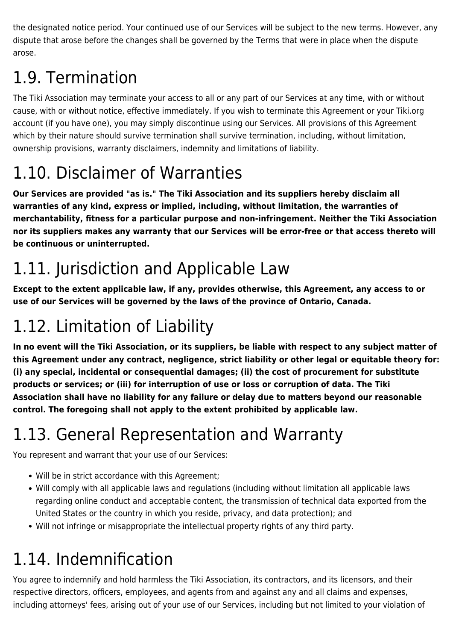the designated notice period. Your continued use of our Services will be subject to the new terms. However, any dispute that arose before the changes shall be governed by the Terms that were in place when the dispute arose.

## 1.9. Termination

The Tiki Association may terminate your access to all or any part of our Services at any time, with or without cause, with or without notice, effective immediately. If you wish to terminate this Agreement or your Tiki.org account (if you have one), you may simply discontinue using our Services. All provisions of this Agreement which by their nature should survive termination shall survive termination, including, without limitation, ownership provisions, warranty disclaimers, indemnity and limitations of liability.

## 1.10. Disclaimer of Warranties

**Our Services are provided "as is." The Tiki Association and its suppliers hereby disclaim all warranties of any kind, express or implied, including, without limitation, the warranties of merchantability, fitness for a particular purpose and non-infringement. Neither the Tiki Association nor its suppliers makes any warranty that our Services will be error-free or that access thereto will be continuous or uninterrupted.**

## 1.11. Jurisdiction and Applicable Law

**Except to the extent applicable law, if any, provides otherwise, this Agreement, any access to or use of our Services will be governed by the laws of the province of Ontario, Canada.**

## 1.12. Limitation of Liability

**In no event will the Tiki Association, or its suppliers, be liable with respect to any subject matter of this Agreement under any contract, negligence, strict liability or other legal or equitable theory for: (i) any special, incidental or consequential damages; (ii) the cost of procurement for substitute products or services; or (iii) for interruption of use or loss or corruption of data. The Tiki Association shall have no liability for any failure or delay due to matters beyond our reasonable control. The foregoing shall not apply to the extent prohibited by applicable law.**

## 1.13. General Representation and Warranty

You represent and warrant that your use of our Services:

- Will be in strict accordance with this Agreement;
- Will comply with all applicable laws and regulations (including without limitation all applicable laws regarding online conduct and acceptable content, the transmission of technical data exported from the United States or the country in which you reside, privacy, and data protection); and
- Will not infringe or misappropriate the intellectual property rights of any third party.

#### 1.14. Indemnification

You agree to indemnify and hold harmless the Tiki Association, its contractors, and its licensors, and their respective directors, officers, employees, and agents from and against any and all claims and expenses, including attorneys' fees, arising out of your use of our Services, including but not limited to your violation of